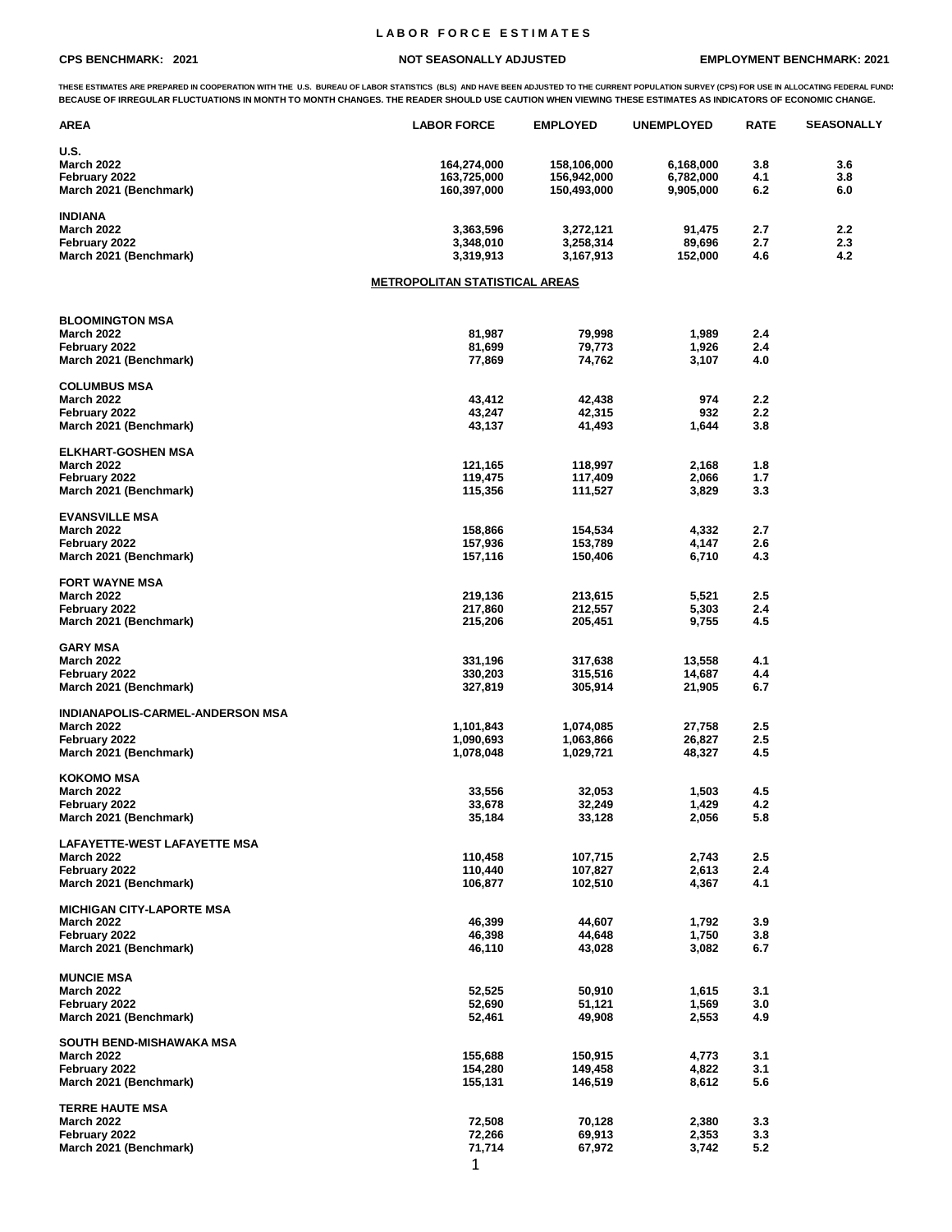## **L A B O R F O R C E E S T I M A T E S**

## **CPS BENCHMARK: 2021 NOT SEASONALLY ADJUSTED EMPLOYMENT BENCHMARK: 2021**

THESE ESTIMATES ARE PREPARED IN COOPERATION WITH THE U.S. BUREAU OF LABOR STATISTICS (BLS) AND HAVE BEEN ADJUSTED TO THE CURRENT POPULATION SURVEY (CPS) FOR USE IN ALLOCATING FEDERAL FUND!<br>BECAUSE OF IRREGULAR FLUCTUATIONS

| AREA                                                  | <b>LABOR FORCE</b>                    | <b>EMPLOYED</b> | <b>UNEMPLOYED</b> | <b>RATE</b> | <b>SEASONALLY</b> |
|-------------------------------------------------------|---------------------------------------|-----------------|-------------------|-------------|-------------------|
| U.S.                                                  |                                       |                 |                   |             |                   |
| <b>March 2022</b>                                     | 164,274,000                           | 158,106,000     | 6,168,000         | 3.8         | 3.6               |
| February 2022                                         | 163,725,000                           | 156,942,000     | 6,782,000         | 4.1         | 3.8               |
| March 2021 (Benchmark)                                | 160,397,000                           | 150,493,000     | 9,905,000         | 6.2         | 6.0               |
| <b>INDIANA</b>                                        |                                       |                 |                   |             |                   |
| <b>March 2022</b>                                     | 3,363,596                             | 3,272,121       | 91,475            | 2.7         | 2.2               |
| February 2022                                         | 3,348,010                             | 3,258,314       | 89,696            | 2.7         | 2.3               |
| March 2021 (Benchmark)                                | 3,319,913                             | 3,167,913       | 152,000           | 4.6         | 4.2               |
|                                                       | <b>METROPOLITAN STATISTICAL AREAS</b> |                 |                   |             |                   |
|                                                       |                                       |                 |                   |             |                   |
| <b>BLOOMINGTON MSA</b>                                |                                       |                 |                   |             |                   |
| <b>March 2022</b>                                     | 81,987                                | 79,998          | 1,989             | 2.4         |                   |
| February 2022                                         | 81,699                                | 79,773          | 1,926             | 2.4         |                   |
| March 2021 (Benchmark)                                | 77,869                                | 74,762          | 3,107             | 4.0         |                   |
| <b>COLUMBUS MSA</b>                                   |                                       |                 |                   |             |                   |
| <b>March 2022</b>                                     | 43,412                                | 42,438          | 974               | 2.2         |                   |
| February 2022                                         | 43,247                                | 42,315          | 932               | 2.2         |                   |
| March 2021 (Benchmark)                                | 43,137                                | 41,493          | 1,644             | 3.8         |                   |
| <b>ELKHART-GOSHEN MSA</b>                             |                                       |                 |                   |             |                   |
| <b>March 2022</b>                                     | 121,165                               | 118,997         | 2,168             | 1.8         |                   |
| February 2022                                         | 119,475                               | 117,409         | 2,066             | 1.7         |                   |
|                                                       | 115,356                               |                 | 3,829             | 3.3         |                   |
| March 2021 (Benchmark)                                |                                       | 111,527         |                   |             |                   |
| <b>EVANSVILLE MSA</b>                                 |                                       |                 |                   |             |                   |
| <b>March 2022</b>                                     | 158,866                               | 154,534         | 4,332             | 2.7         |                   |
| February 2022                                         | 157,936                               | 153,789         | 4,147             | 2.6         |                   |
| March 2021 (Benchmark)                                | 157,116                               | 150,406         | 6,710             | 4.3         |                   |
| <b>FORT WAYNE MSA</b>                                 |                                       |                 |                   |             |                   |
| <b>March 2022</b>                                     | 219,136                               | 213,615         | 5,521             | 2.5         |                   |
| February 2022                                         | 217,860                               | 212,557         | 5,303             | 2.4         |                   |
| March 2021 (Benchmark)                                | 215,206                               | 205,451         | 9,755             | 4.5         |                   |
| <b>GARY MSA</b>                                       |                                       |                 |                   |             |                   |
| <b>March 2022</b>                                     | 331,196                               | 317,638         | 13,558            | 4.1         |                   |
| February 2022                                         | 330,203                               | 315,516         | 14,687            | 4.4         |                   |
| March 2021 (Benchmark)                                | 327,819                               | 305,914         | 21,905            | 6.7         |                   |
|                                                       |                                       |                 |                   |             |                   |
| INDIANAPOLIS-CARMEL-ANDERSON MSA<br><b>March 2022</b> | 1,101,843                             | 1,074,085       |                   | 2.5         |                   |
|                                                       |                                       |                 | 27,758            | 2.5         |                   |
| February 2022                                         | 1,090,693                             | 1,063,866       | 26,827            |             |                   |
| March 2021 (Benchmark)                                | 1,078,048                             | 1,029,721       | 48,327            | 4.5         |                   |
| <b>KOKOMO MSA</b>                                     |                                       |                 |                   |             |                   |
| <b>March 2022</b>                                     | 33,556                                | 32,053          | 1,503             | 4.5         |                   |
| February 2022                                         | 33,678                                | 32,249          | 1,429             | 4.2         |                   |
| March 2021 (Benchmark)                                | 35,184                                | 33,128          | 2,056             | 5.8         |                   |
| <b>LAFAYETTE-WEST LAFAYETTE MSA</b>                   |                                       |                 |                   |             |                   |
| <b>March 2022</b>                                     | 110,458                               | 107,715         | 2,743             | 2.5         |                   |
| February 2022                                         | 110,440                               | 107,827         | 2,613             | 2.4         |                   |
| March 2021 (Benchmark)                                | 106,877                               | 102,510         | 4,367             | 4.1         |                   |
| <b>MICHIGAN CITY-LAPORTE MSA</b>                      |                                       |                 |                   |             |                   |
| <b>March 2022</b>                                     | 46,399                                | 44,607          | 1,792             | 3.9         |                   |
| February 2022                                         | 46,398                                | 44,648          | 1,750             | 3.8         |                   |
| March 2021 (Benchmark)                                | 46,110                                | 43,028          | 3,082             | 6.7         |                   |
|                                                       |                                       |                 |                   |             |                   |
| <b>MUNCIE MSA</b><br><b>March 2022</b>                | 52,525                                | 50,910          | 1,615             | 3.1         |                   |
| February 2022                                         | 52,690                                | 51,121          | 1,569             | 3.0         |                   |
| March 2021 (Benchmark)                                | 52,461                                | 49,908          | 2,553             | 4.9         |                   |
|                                                       |                                       |                 |                   |             |                   |
| SOUTH BEND-MISHAWAKA MSA<br><b>March 2022</b>         | 155,688                               | 150,915         | 4,773             | 3.1         |                   |
| February 2022                                         | 154,280                               | 149,458         | 4,822             | 3.1         |                   |
| March 2021 (Benchmark)                                | 155,131                               | 146,519         | 8,612             | 5.6         |                   |
|                                                       |                                       |                 |                   |             |                   |
| <b>TERRE HAUTE MSA</b><br><b>March 2022</b>           | 72,508                                | 70,128          | 2,380             | 3.3         |                   |
| February 2022                                         | 72,266                                | 69,913          | 2,353             | 3.3         |                   |
| March 2021 (Benchmark)                                | 71,714                                | 67,972          | 3,742             | 5.2         |                   |
|                                                       | $\blacktriangleleft$                  |                 |                   |             |                   |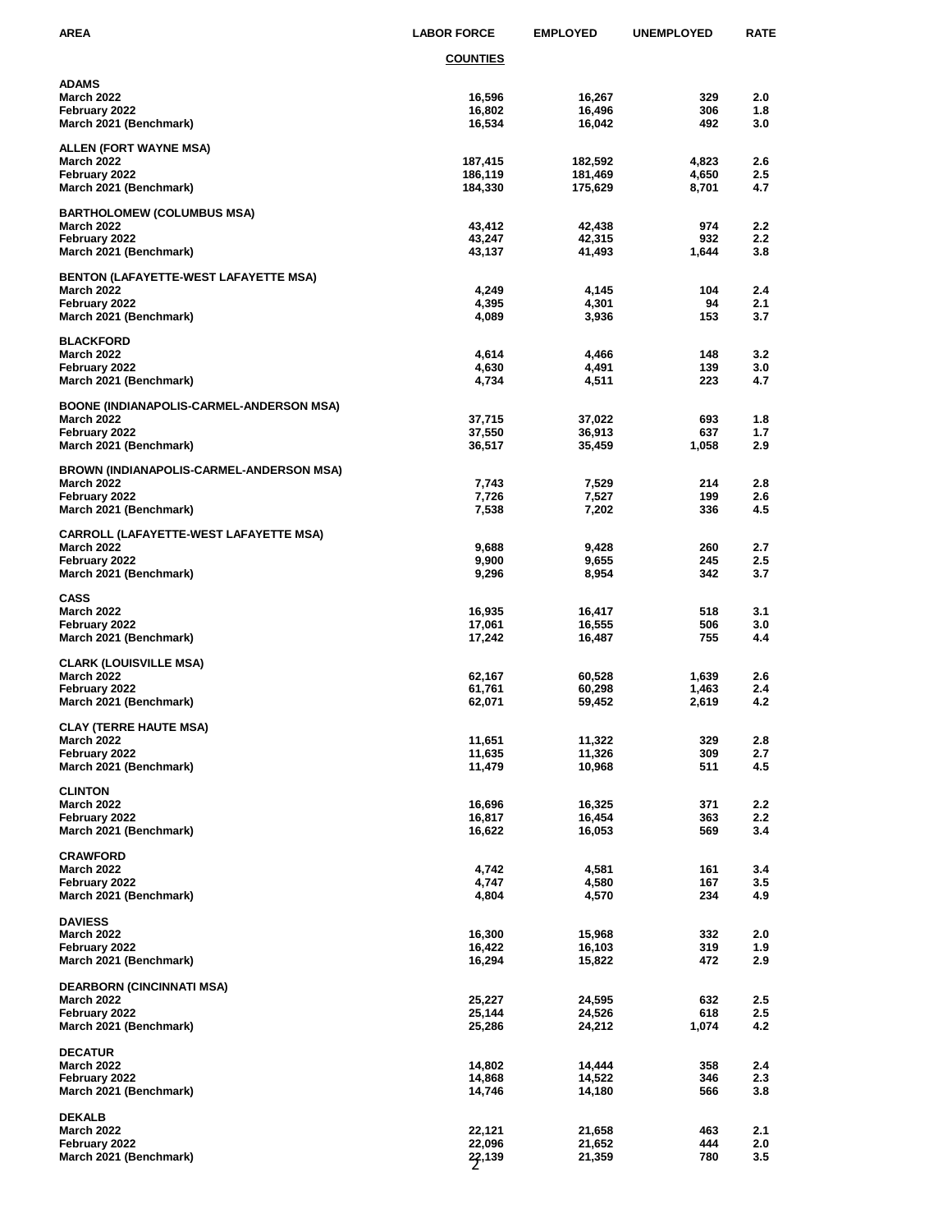| AREA                                                        | <b>LABOR FORCE</b> | <b>EMPLOYED</b>    | <b>UNEMPLOYED</b> | <b>RATE</b> |
|-------------------------------------------------------------|--------------------|--------------------|-------------------|-------------|
|                                                             | <b>COUNTIES</b>    |                    |                   |             |
| ADAMS                                                       |                    |                    |                   |             |
| <b>March 2022</b>                                           | 16,596             | 16,267             | 329               | 2.0         |
| February 2022<br>March 2021 (Benchmark)                     | 16,802<br>16,534   | 16,496<br>16,042   | 306<br>492        | 1.8<br>3.0  |
|                                                             |                    |                    |                   |             |
| ALLEN (FORT WAYNE MSA)                                      |                    |                    |                   |             |
| <b>March 2022</b>                                           | 187,415            | 182,592            | 4,823             | 2.6         |
| February 2022<br>March 2021 (Benchmark)                     | 186,119<br>184,330 | 181,469<br>175,629 | 4,650<br>8,701    | 2.5<br>4.7  |
|                                                             |                    |                    |                   |             |
| <b>BARTHOLOMEW (COLUMBUS MSA)</b><br><b>March 2022</b>      |                    |                    | 974               | 2.2         |
| February 2022                                               | 43,412<br>43,247   | 42,438<br>42,315   | 932               | 2.2         |
| March 2021 (Benchmark)                                      | 43,137             | 41,493             | 1,644             | 3.8         |
| <b>BENTON (LAFAYETTE-WEST LAFAYETTE MSA)</b>                |                    |                    |                   |             |
| <b>March 2022</b>                                           | 4,249              | 4,145              | 104               | 2.4         |
| February 2022                                               | 4,395              | 4,301              | 94                | 2.1         |
| March 2021 (Benchmark)                                      | 4,089              | 3,936              | 153               | 3.7         |
| <b>BLACKFORD</b>                                            |                    |                    |                   |             |
| <b>March 2022</b>                                           | 4,614              | 4,466              | 148               | 3.2         |
| February 2022                                               | 4,630              | 4,491              | 139               | 3.0         |
| March 2021 (Benchmark)                                      | 4,734              | 4,511              | 223               | 4.7         |
| BOONE (INDIANAPOLIS-CARMEL-ANDERSON MSA)                    |                    |                    |                   |             |
| <b>March 2022</b>                                           | 37,715             | 37,022             | 693               | 1.8         |
| February 2022<br>March 2021 (Benchmark)                     | 37,550<br>36,517   | 36,913<br>35,459   | 637<br>1,058      | 1.7<br>2.9  |
|                                                             |                    |                    |                   |             |
| BROWN (INDIANAPOLIS-CARMEL-ANDERSON MSA)                    |                    |                    |                   |             |
| <b>March 2022</b><br>February 2022                          | 7,743<br>7,726     | 7,529<br>7,527     | 214<br>199        | 2.8<br>2.6  |
| March 2021 (Benchmark)                                      | 7,538              | 7,202              | 336               | 4.5         |
|                                                             |                    |                    |                   |             |
| CARROLL (LAFAYETTE-WEST LAFAYETTE MSA)<br><b>March 2022</b> | 9,688              | 9,428              | 260               | 2.7         |
| February 2022                                               | 9,900              | 9,655              | 245               | 2.5         |
| March 2021 (Benchmark)                                      | 9,296              | 8,954              | 342               | 3.7         |
| <b>CASS</b>                                                 |                    |                    |                   |             |
| <b>March 2022</b>                                           | 16,935             | 16,417             | 518               | 3.1         |
| February 2022                                               | 17,061             | 16,555             | 506               | 3.0         |
| March 2021 (Benchmark)                                      | 17,242             | 16,487             | 755               | 4.4         |
| CLARK (LOUISVILLE MSA)                                      |                    |                    |                   |             |
| <b>March 2022</b>                                           | 62,167             | 60,528             | 1,639             | 2.6         |
| February 2022<br>March 2021 (Benchmark)                     | 61,761<br>62,071   | 60,298<br>59,452   | 1,463<br>2,619    | 2.4<br>4.2  |
|                                                             |                    |                    |                   |             |
| CLAY (TERRE HAUTE MSA)                                      |                    |                    | 329               | 2.8         |
| <b>March 2022</b><br>February 2022                          | 11,651<br>11,635   | 11,322<br>11,326   | 309               | 2.7         |
| March 2021 (Benchmark)                                      | 11,479             | 10,968             | 511               | 4.5         |
| <b>CLINTON</b>                                              |                    |                    |                   |             |
| <b>March 2022</b>                                           | 16,696             | 16,325             | 371               | 2.2         |
| February 2022                                               | 16,817             | 16,454             | 363               | 2.2         |
| March 2021 (Benchmark)                                      | 16,622             | 16,053             | 569               | 3.4         |
| <b>CRAWFORD</b>                                             |                    |                    |                   |             |
| <b>March 2022</b>                                           | 4,742              | 4,581              | 161               | 3.4         |
| February 2022<br>March 2021 (Benchmark)                     | 4,747              | 4,580              | 167<br>234        | 3.5<br>4.9  |
|                                                             | 4,804              | 4,570              |                   |             |
| <b>DAVIESS</b>                                              |                    |                    |                   |             |
| <b>March 2022</b>                                           | 16,300             | 15,968             | 332               | 2.0         |
| February 2022<br>March 2021 (Benchmark)                     | 16,422<br>16,294   | 16,103<br>15,822   | 319<br>472        | 1.9<br>2.9  |
|                                                             |                    |                    |                   |             |
| DEARBORN (CINCINNATI MSA)                                   |                    |                    |                   |             |
| <b>March 2022</b><br>February 2022                          | 25,227<br>25,144   | 24,595<br>24,526   | 632<br>618        | 2.5<br>2.5  |
| March 2021 (Benchmark)                                      | 25,286             | 24,212             | 1,074             | 4.2         |
|                                                             |                    |                    |                   |             |
| <b>DECATUR</b><br><b>March 2022</b>                         | 14,802             | 14,444             | 358               | 2.4         |
| February 2022                                               | 14,868             | 14,522             | 346               | 2.3         |
| March 2021 (Benchmark)                                      | 14,746             | 14,180             | 566               | 3.8         |
| <b>DEKALB</b>                                               |                    |                    |                   |             |
| <b>March 2022</b>                                           | 22,121             | 21,658             | 463               | 2.1         |
| February 2022                                               | 22,096             | 21,652             | 444               | 2.0         |
| March 2021 (Benchmark)                                      | 27,139             | 21,359             | 780               | 3.5         |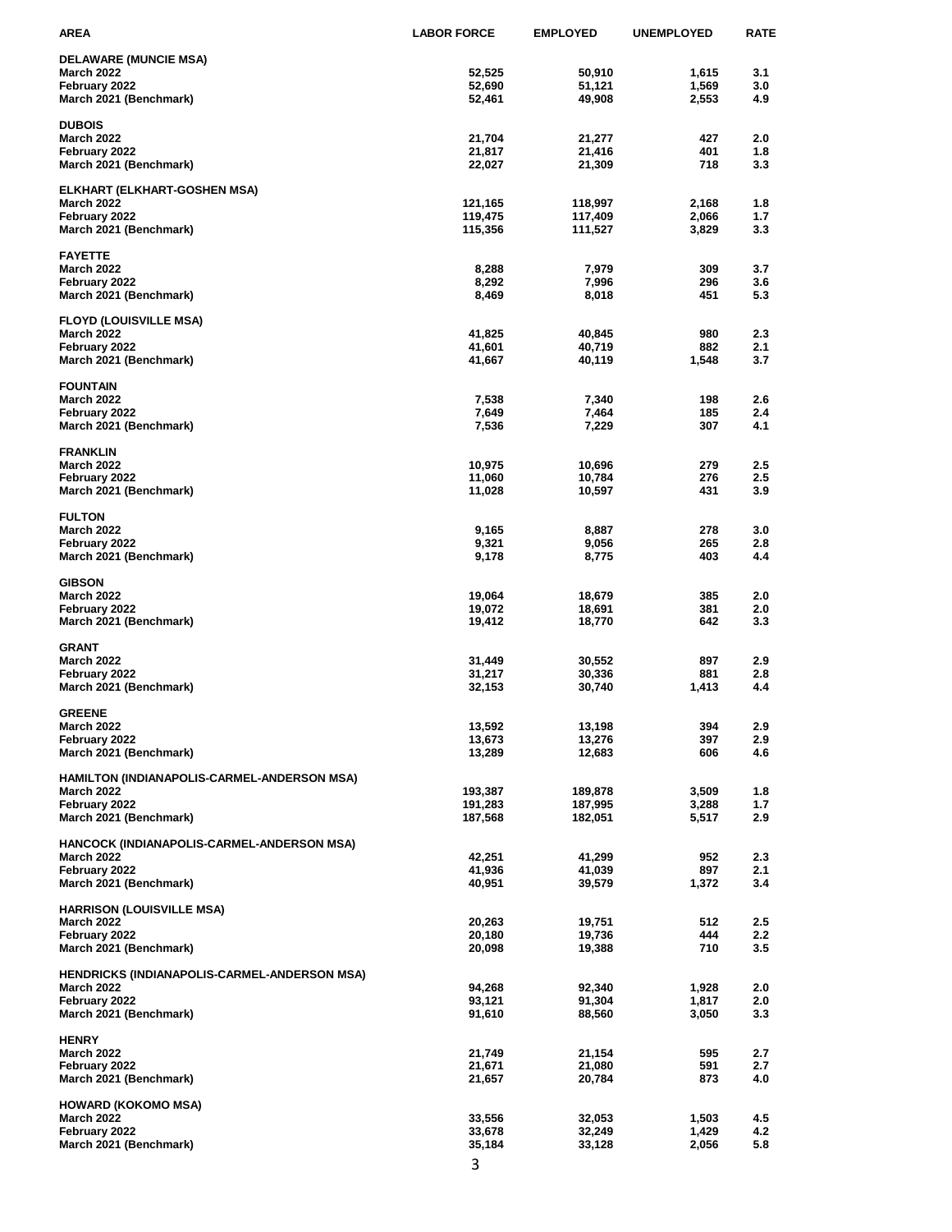| AREA                                                              | <b>LABOR FORCE</b> | <b>EMPLOYED</b>    | <b>UNEMPLOYED</b> | <b>RATE</b> |
|-------------------------------------------------------------------|--------------------|--------------------|-------------------|-------------|
| <b>DELAWARE (MUNCIE MSA)</b>                                      |                    |                    |                   |             |
| <b>March 2022</b>                                                 | 52,525             | 50,910             | 1,615             | 3.1         |
| February 2022                                                     | 52,690             | 51,121             | 1,569             | 3.0         |
| March 2021 (Benchmark)                                            | 52,461             | 49,908             | 2,553             | 4.9         |
| <b>DUBOIS</b>                                                     |                    |                    |                   |             |
| March 2022                                                        | 21,704             | 21,277             | 427               | 2.0         |
| February 2022                                                     | 21,817             | 21,416             | 401               | 1.8         |
| March 2021 (Benchmark)                                            | 22,027             | 21,309             | 718               | 3.3         |
| ELKHART (ELKHART-GOSHEN MSA)                                      |                    |                    |                   |             |
| <b>March 2022</b>                                                 | 121,165            | 118,997            | 2,168             | 1.8         |
| February 2022                                                     | 119,475            | 117,409            | 2,066             | 1.7         |
| March 2021 (Benchmark)                                            | 115,356            | 111,527            | 3,829             | 3.3         |
| <b>FAYETTE</b>                                                    |                    |                    |                   |             |
| March 2022                                                        | 8,288              | 7,979              | 309<br>296        | 3.7         |
| February 2022<br>March 2021 (Benchmark)                           | 8,292<br>8,469     | 7,996<br>8,018     | 451               | 3.6<br>5.3  |
|                                                                   |                    |                    |                   |             |
| <b>FLOYD (LOUISVILLE MSA)</b>                                     | 41,825             | 40,845             | 980               | 2.3         |
| March 2022<br>February 2022                                       | 41,601             | 40,719             | 882               | 2.1         |
| March 2021 (Benchmark)                                            | 41,667             | 40,119             | 1,548             | 3.7         |
|                                                                   |                    |                    |                   |             |
| <b>FOUNTAIN</b><br>March 2022                                     | 7,538              | 7,340              | 198               | 2.6         |
| February 2022                                                     | 7,649              | 7,464              | 185               | 2.4         |
| March 2021 (Benchmark)                                            | 7,536              | 7,229              | 307               | 4.1         |
| <b>FRANKLIN</b>                                                   |                    |                    |                   |             |
| March 2022                                                        | 10,975             | 10,696             | 279               | 2.5         |
| February 2022                                                     | 11,060             | 10,784             | 276               | 2.5         |
| March 2021 (Benchmark)                                            | 11,028             | 10,597             | 431               | 3.9         |
| <b>FULTON</b>                                                     |                    |                    |                   |             |
| March 2022                                                        | 9,165              | 8,887              | 278               | 3.0         |
| February 2022                                                     | 9,321              | 9,056              | 265               | 2.8         |
| March 2021 (Benchmark)                                            | 9,178              | 8,775              | 403               | 4.4         |
| <b>GIBSON</b>                                                     |                    |                    |                   |             |
| March 2022                                                        | 19,064             | 18,679             | 385               | 2.0         |
| February 2022                                                     | 19,072             | 18,691             | 381               | 2.0         |
| March 2021 (Benchmark)                                            | 19,412             | 18,770             | 642               | 3.3         |
| <b>GRANT</b>                                                      |                    |                    |                   |             |
| March 2022                                                        | 31,449             | 30,552             | 897               | 2.9         |
| February 2022                                                     | 31,217             | 30,336             | 881               | 2.8         |
| March 2021 (Benchmark)                                            | 32,153             | 30,740             | 1,413             | 4.4         |
| <b>GREENE</b>                                                     |                    |                    |                   |             |
| <b>March 2022</b>                                                 | 13,592             | 13,198             | 394               | 2.9         |
| February 2022                                                     | 13,673             | 13,276             | 397               | 2.9         |
| March 2021 (Benchmark)                                            | 13,289             | 12,683             | 606               | 4.6         |
| HAMILTON (INDIANAPOLIS-CARMEL-ANDERSON MSA)                       |                    |                    |                   |             |
| <b>March 2022</b>                                                 | 193,387            | 189,878            | 3,509             | 1.8         |
| February 2022<br>March 2021 (Benchmark)                           | 191,283<br>187,568 | 187,995<br>182,051 | 3,288<br>5,517    | 1.7<br>2.9  |
|                                                                   |                    |                    |                   |             |
| HANCOCK (INDIANAPOLIS-CARMEL-ANDERSON MSA)                        |                    |                    |                   |             |
| March 2022<br>February 2022                                       | 42,251<br>41,936   | 41,299             | 952<br>897        | 2.3         |
| March 2021 (Benchmark)                                            | 40,951             | 41,039<br>39,579   | 1,372             | 2.1<br>3.4  |
|                                                                   |                    |                    |                   |             |
| <b>HARRISON (LOUISVILLE MSA)</b><br><b>March 2022</b>             | 20,263             | 19,751             | 512               | 2.5         |
| February 2022                                                     | 20,180             | 19,736             | 444               | 2.2         |
| March 2021 (Benchmark)                                            | 20,098             | 19,388             | 710               | 3.5         |
|                                                                   |                    |                    |                   |             |
| HENDRICKS (INDIANAPOLIS-CARMEL-ANDERSON MSA)<br><b>March 2022</b> | 94,268             | 92,340             | 1,928             | 2.0         |
| February 2022                                                     | 93,121             | 91,304             | 1,817             | 2.0         |
| March 2021 (Benchmark)                                            | 91,610             | 88,560             | 3,050             | 3.3         |
| <b>HENRY</b>                                                      |                    |                    |                   |             |
| <b>March 2022</b>                                                 | 21,749             | 21,154             | 595               | 2.7         |
| February 2022                                                     | 21,671             | 21,080             | 591               | 2.7         |
| March 2021 (Benchmark)                                            | 21,657             | 20,784             | 873               | 4.0         |
| HOWARD (KOKOMO MSA)                                               |                    |                    |                   |             |
| March 2022                                                        | 33,556             | 32,053             | 1,503             | 4.5         |
| February 2022                                                     | 33,678             | 32,249             | 1,429             | 4.2         |
| March 2021 (Benchmark)                                            | 35,184             | 33,128             | 2,056             | 5.8         |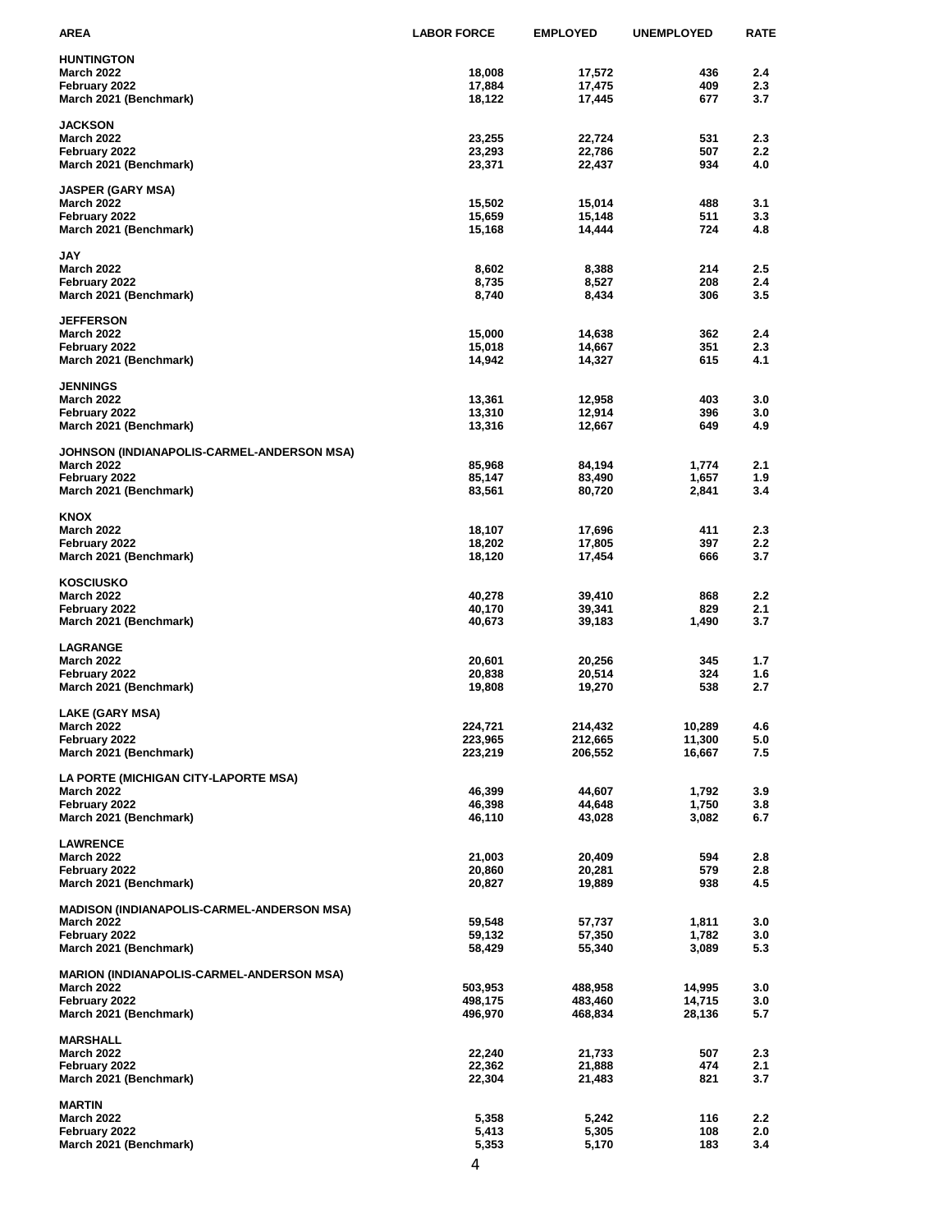| AREA                                              | <b>LABOR FORCE</b> | <b>EMPLOYED</b>  | <b>UNEMPLOYED</b> | <b>RATE</b>      |
|---------------------------------------------------|--------------------|------------------|-------------------|------------------|
| <b>HUNTINGTON</b>                                 |                    |                  |                   |                  |
| <b>March 2022</b>                                 | 18,008             | 17,572           | 436               | 2.4              |
| February 2022                                     | 17,884             | 17,475           | 409               | 2.3              |
| March 2021 (Benchmark)                            | 18,122             | 17,445           | 677               | 3.7              |
|                                                   |                    |                  |                   |                  |
| <b>JACKSON</b>                                    |                    |                  |                   |                  |
| <b>March 2022</b>                                 | 23,255             | 22,724           | 531               | 2.3<br>2.2       |
| February 2022<br>March 2021 (Benchmark)           | 23,293<br>23,371   | 22,786<br>22,437 | 507<br>934        | 4.0              |
|                                                   |                    |                  |                   |                  |
| <b>JASPER (GARY MSA)</b>                          |                    |                  |                   |                  |
| <b>March 2022</b>                                 | 15,502             | 15,014           | 488               | 3.1              |
| February 2022                                     | 15,659             | 15,148           | 511               | 3.3              |
| March 2021 (Benchmark)                            | 15,168             | 14,444           | 724               | 4.8              |
|                                                   |                    |                  |                   |                  |
| JAY<br><b>March 2022</b>                          | 8,602              | 8,388            | 214               | 2.5              |
| February 2022                                     | 8,735              | 8,527            | 208               | 2.4              |
| March 2021 (Benchmark)                            | 8,740              | 8,434            | 306               | 3.5              |
|                                                   |                    |                  |                   |                  |
| <b>JEFFERSON</b>                                  |                    |                  |                   |                  |
| <b>March 2022</b>                                 | 15,000             | 14,638           | 362               | 2.4              |
| February 2022                                     | 15,018             | 14,667           | 351               | 2.3              |
| March 2021 (Benchmark)                            | 14,942             | 14,327           | 615               | 4.1              |
| <b>JENNINGS</b>                                   |                    |                  |                   |                  |
| <b>March 2022</b>                                 | 13,361             | 12,958           | 403               | 3.0              |
| February 2022                                     | 13,310             | 12,914           | 396               | 3.0              |
| March 2021 (Benchmark)                            | 13,316             | 12,667           | 649               | 4.9              |
|                                                   |                    |                  |                   |                  |
| JOHNSON (INDIANAPOLIS-CARMEL-ANDERSON MSA)        |                    |                  |                   |                  |
| <b>March 2022</b>                                 | 85,968             | 84,194           | 1,774             | 2.1              |
| February 2022                                     | 85,147             | 83,490           | 1,657             | 1.9              |
| March 2021 (Benchmark)                            | 83,561             | 80,720           | 2,841             | 3.4              |
| <b>KNOX</b>                                       |                    |                  |                   |                  |
| <b>March 2022</b>                                 | 18,107             | 17,696           | 411               | 2.3              |
| February 2022                                     | 18,202             | 17,805           | 397               | 2.2              |
| March 2021 (Benchmark)                            | 18,120             | 17,454           | 666               | 3.7              |
|                                                   |                    |                  |                   |                  |
| <b>KOSCIUSKO</b>                                  |                    |                  |                   |                  |
| <b>March 2022</b>                                 | 40,278             | 39,410           | 868               | 2.2              |
| February 2022                                     | 40,170<br>40,673   | 39,341<br>39,183 | 829<br>1,490      | 2.1<br>3.7       |
| March 2021 (Benchmark)                            |                    |                  |                   |                  |
| LAGRANGE                                          |                    |                  |                   |                  |
| <b>March 2022</b>                                 | 20,601             | 20,256           | 345               | 1.7              |
| February 2022                                     | 20,838             | 20,514           | 324               | 1.6              |
| March 2021 (Benchmark)                            | 19,808             | 19,270           | 538               | 2.7              |
|                                                   |                    |                  |                   |                  |
| LAKE (GARY MSA)<br><b>March 2022</b>              | 224,721            | 214,432          | 10,289            |                  |
| February 2022                                     | 223,965            | 212,665          | 11,300            | 4.6<br>5.0       |
| March 2021 (Benchmark)                            | 223,219            | 206,552          | 16,667            | 7.5              |
|                                                   |                    |                  |                   |                  |
| LA PORTE (MICHIGAN CITY-LAPORTE MSA)              |                    |                  |                   |                  |
| <b>March 2022</b>                                 | 46,399             | 44,607           | 1,792             | 3.9              |
| February 2022                                     | 46,398             | 44,648           | 1,750             | 3.8              |
| March 2021 (Benchmark)                            | 46,110             | 43,028           | 3,082             | 6.7              |
|                                                   |                    |                  |                   |                  |
| <b>LAWRENCE</b><br><b>March 2022</b>              | 21,003             | 20,409           | 594               | 2.8              |
| February 2022                                     | 20,860             | 20,281           | 579               | 2.8              |
| March 2021 (Benchmark)                            | 20,827             | 19,889           | 938               | 4.5              |
|                                                   |                    |                  |                   |                  |
| <b>MADISON (INDIANAPOLIS-CARMEL-ANDERSON MSA)</b> |                    |                  |                   |                  |
| <b>March 2022</b>                                 | 59,548             | 57,737           | 1,811             | 3.0              |
| February 2022                                     | 59,132             | 57,350           | 1,782             | 3.0              |
| March 2021 (Benchmark)                            | 58,429             | 55,340           | 3,089             | 5.3              |
| <b>MARION (INDIANAPOLIS-CARMEL-ANDERSON MSA)</b>  |                    |                  |                   |                  |
| <b>March 2022</b>                                 | 503,953            | 488,958          | 14,995            | 3.0              |
| February 2022                                     | 498,175            | 483,460          | 14,715            | 3.0              |
| March 2021 (Benchmark)                            | 496,970            | 468,834          | 28,136            | 5.7              |
|                                                   |                    |                  |                   |                  |
| <b>MARSHALL</b>                                   |                    |                  |                   |                  |
| <b>March 2022</b>                                 | 22,240             | 21,733           | 507               | 2.3              |
| February 2022<br>March 2021 (Benchmark)           | 22,362<br>22,304   | 21,888<br>21,483 | 474<br>821        | 2.1<br>3.7       |
|                                                   |                    |                  |                   |                  |
| <b>MARTIN</b>                                     |                    |                  |                   |                  |
| <b>March 2022</b>                                 | 5,358              | 5,242            | 116               | $2.2\phantom{0}$ |
| February 2022                                     | 5,413              | 5,305            | 108               | 2.0              |
| March 2021 (Benchmark)                            | 5,353              | 5,170            | 183               | 3.4              |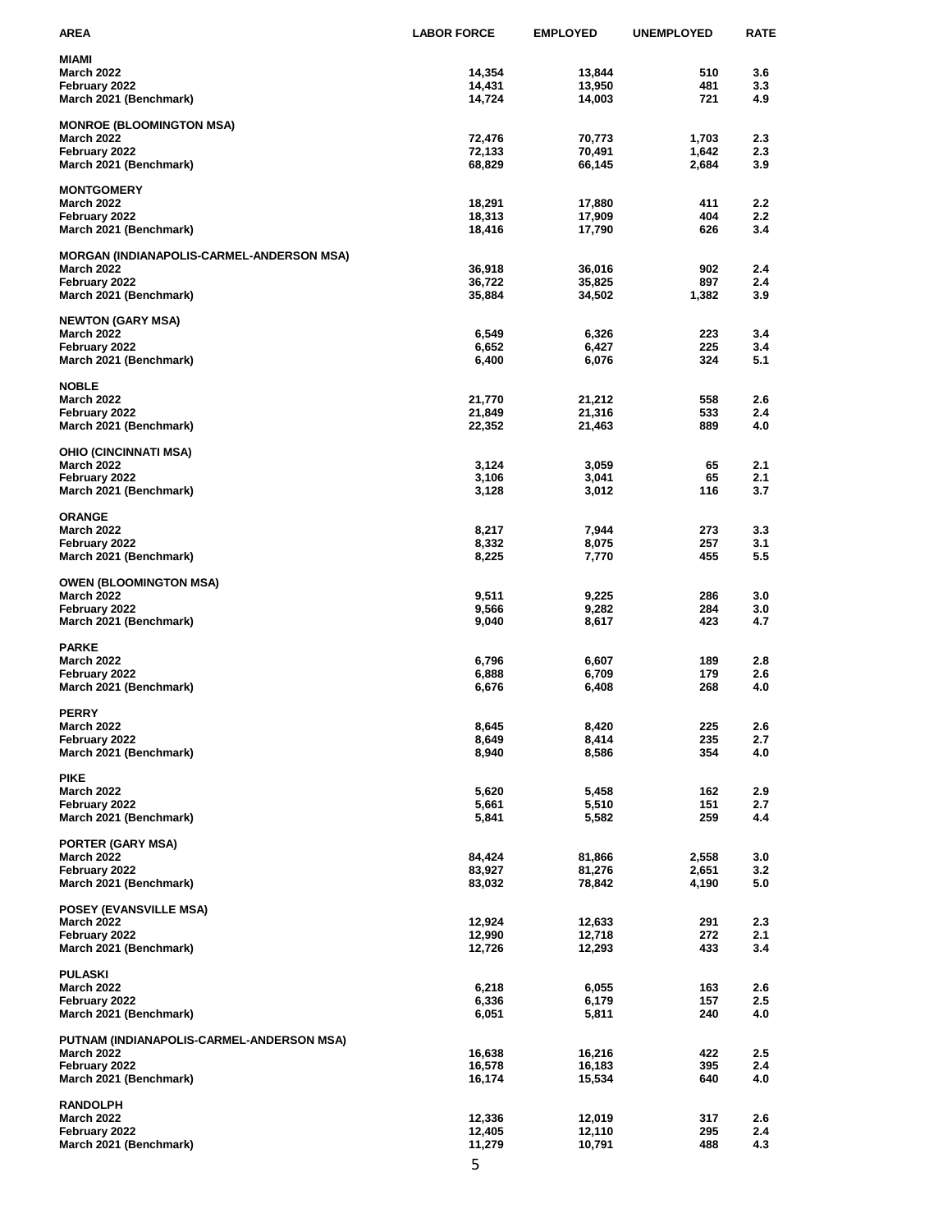| AREA                                      | <b>LABOR FORCE</b> | <b>EMPLOYED</b>  | <b>UNEMPLOYED</b> | RATE           |
|-------------------------------------------|--------------------|------------------|-------------------|----------------|
| MIAMI                                     |                    |                  |                   |                |
| <b>March 2022</b>                         | 14,354             | 13,844           | 510               | 3.6            |
| February 2022                             | 14,431             | 13,950           | 481               | 3.3            |
| March 2021 (Benchmark)                    | 14,724             | 14,003           | 721               | 4.9            |
| <b>MONROE (BLOOMINGTON MSA)</b>           |                    |                  |                   |                |
| <b>March 2022</b>                         | 72,476             | 70,773           | 1,703             | 2.3            |
| February 2022                             | 72,133             | 70,491           | 1,642             | 2.3            |
| March 2021 (Benchmark)                    | 68,829             | 66,145           | 2,684             | 3.9            |
|                                           |                    |                  |                   |                |
| <b>MONTGOMERY</b>                         | 18,291             |                  |                   |                |
| <b>March 2022</b><br>February 2022        | 18,313             | 17,880<br>17,909 | 411<br>404        | $2.2\,$<br>2.2 |
| March 2021 (Benchmark)                    | 18,416             | 17,790           | 626               | 3.4            |
|                                           |                    |                  |                   |                |
| MORGAN (INDIANAPOLIS-CARMEL-ANDERSON MSA) |                    |                  |                   |                |
| <b>March 2022</b>                         | 36,918             | 36,016           | 902               | 2.4            |
| February 2022                             | 36,722             | 35,825           | 897               | 2.4            |
| March 2021 (Benchmark)                    | 35,884             | 34,502           | 1,382             | 3.9            |
| <b>NEWTON (GARY MSA)</b>                  |                    |                  |                   |                |
| <b>March 2022</b>                         | 6,549              | 6,326            | 223               | 3.4            |
| February 2022                             | 6,652              | 6,427            | 225               | 3.4            |
| March 2021 (Benchmark)                    | 6,400              | 6,076            | 324               | 5.1            |
|                                           |                    |                  |                   |                |
| <b>NOBLE</b>                              |                    |                  |                   |                |
| <b>March 2022</b><br>February 2022        | 21,770<br>21,849   | 21,212<br>21,316 | 558<br>533        | 2.6<br>2.4     |
| March 2021 (Benchmark)                    | 22,352             | 21,463           | 889               | 4.0            |
|                                           |                    |                  |                   |                |
| OHIO (CINCINNATI MSA)                     |                    |                  |                   |                |
| <b>March 2022</b>                         | 3,124              | 3,059            | 65                | 2.1            |
| February 2022                             | 3,106              | 3,041            | 65                | 2.1            |
| March 2021 (Benchmark)                    | 3,128              | 3,012            | 116               | 3.7            |
| <b>ORANGE</b>                             |                    |                  |                   |                |
| <b>March 2022</b>                         | 8,217              | 7,944            | 273               | 3.3            |
| February 2022                             | 8,332              | 8,075            | 257               | 3.1            |
| March 2021 (Benchmark)                    | 8,225              | 7,770            | 455               | 5.5            |
|                                           |                    |                  |                   |                |
| <b>OWEN (BLOOMINGTON MSA)</b>             |                    |                  |                   |                |
| <b>March 2022</b><br>February 2022        | 9,511<br>9,566     | 9,225<br>9,282   | 286<br>284        | 3.0<br>3.0     |
| March 2021 (Benchmark)                    | 9,040              | 8,617            | 423               | 4.7            |
|                                           |                    |                  |                   |                |
| <b>PARKE</b>                              |                    |                  |                   |                |
| <b>March 2022</b>                         | 6,796              | 6,607            | 189               | 2.8            |
| February 2022                             | 6,888              | 6,709            | 179               | 2.6            |
| March 2021 (Benchmark)                    | 6,676              | 6,408            | 268               | 4.0            |
| <b>PERRY</b>                              |                    |                  |                   |                |
| <b>March 2022</b>                         | 8,645              | 8,420            | 225               | 2.6            |
| February 2022                             | 8,649              | 8,414            | 235               | 2.7            |
| March 2021 (Benchmark)                    | 8,940              | 8,586            | 354               | 4.0            |
|                                           |                    |                  |                   |                |
| <b>PIKE</b><br><b>March 2022</b>          | 5,620              | 5,458            | 162               | 2.9            |
| February 2022                             | 5,661              | 5,510            | 151               | 2.7            |
| March 2021 (Benchmark)                    | 5,841              | 5,582            | 259               | 4.4            |
|                                           |                    |                  |                   |                |
| <b>PORTER (GARY MSA)</b>                  |                    |                  |                   |                |
| <b>March 2022</b>                         | 84,424             | 81,866           | 2,558             | 3.0            |
| February 2022                             | 83,927             | 81,276           | 2,651             | 3.2            |
| March 2021 (Benchmark)                    | 83,032             | 78,842           | 4,190             | 5.0            |
| <b>POSEY (EVANSVILLE MSA)</b>             |                    |                  |                   |                |
| <b>March 2022</b>                         | 12,924             | 12,633           | 291               | 2.3            |
| February 2022                             | 12,990             | 12,718           | 272               | 2.1            |
| March 2021 (Benchmark)                    | 12,726             | 12,293           | 433               | 3.4            |
|                                           |                    |                  |                   |                |
| PULASKI<br><b>March 2022</b>              | 6,218              | 6,055            | 163               | 2.6            |
| February 2022                             | 6,336              | 6,179            | 157               | 2.5            |
| March 2021 (Benchmark)                    | 6,051              | 5,811            | 240               | 4.0            |
|                                           |                    |                  |                   |                |
| PUTNAM (INDIANAPOLIS-CARMEL-ANDERSON MSA) |                    |                  |                   |                |
| <b>March 2022</b>                         | 16,638             | 16,216           | 422               | 2.5            |
| February 2022                             | 16,578             | 16,183           | 395<br>640        | 2.4            |
| March 2021 (Benchmark)                    | 16,174             | 15,534           |                   | 4.0            |
| <b>RANDOLPH</b>                           |                    |                  |                   |                |
| <b>March 2022</b>                         | 12,336             | 12,019           | 317               | 2.6            |
| February 2022                             | 12,405             | 12,110           | 295               | 2.4            |
| March 2021 (Benchmark)                    | 11,279             | 10,791           | 488               | 4.3            |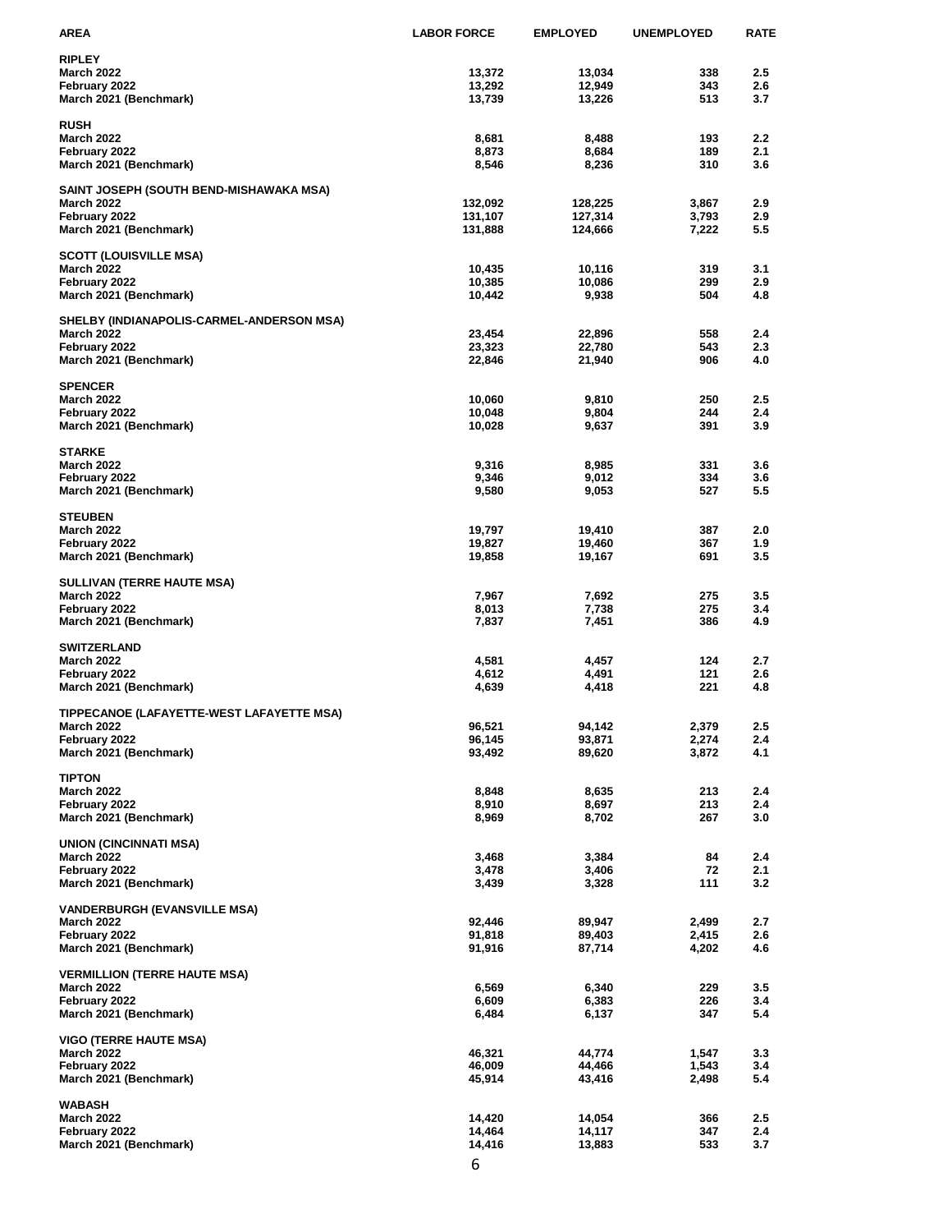| AREA                                                     | <b>LABOR FORCE</b> | <b>EMPLOYED</b>    | <b>UNEMPLOYED</b> | <b>RATE</b> |
|----------------------------------------------------------|--------------------|--------------------|-------------------|-------------|
| <b>RIPLEY</b>                                            |                    |                    |                   |             |
| <b>March 2022</b>                                        | 13,372             | 13,034             | 338               | 2.5         |
| February 2022                                            | 13,292             | 12,949             | 343               | 2.6         |
| March 2021 (Benchmark)                                   | 13,739             | 13,226             | 513               | 3.7         |
| <b>RUSH</b>                                              |                    |                    |                   |             |
| <b>March 2022</b>                                        | 8,681              | 8,488              | 193               | 2.2         |
| February 2022                                            | 8,873              | 8,684              | 189               | 2.1         |
| March 2021 (Benchmark)                                   | 8,546              | 8,236              | 310               | 3.6         |
|                                                          |                    |                    |                   |             |
| SAINT JOSEPH (SOUTH BEND-MISHAWAKA MSA)                  |                    |                    |                   |             |
| <b>March 2022</b><br>February 2022                       | 132,092<br>131,107 | 128,225<br>127,314 | 3,867<br>3,793    | 2.9<br>2.9  |
| March 2021 (Benchmark)                                   | 131,888            | 124,666            | 7,222             | 5.5         |
|                                                          |                    |                    |                   |             |
| <b>SCOTT (LOUISVILLE MSA)</b>                            |                    |                    |                   |             |
| <b>March 2022</b>                                        | 10,435             | 10,116             | 319               | 3.1         |
| February 2022                                            | 10,385             | 10,086             | 299               | 2.9         |
| March 2021 (Benchmark)                                   | 10,442             | 9,938              | 504               | 4.8         |
| SHELBY (INDIANAPOLIS-CARMEL-ANDERSON MSA)                |                    |                    |                   |             |
| <b>March 2022</b>                                        | 23,454             | 22,896             | 558               | 2.4         |
| February 2022                                            | 23,323             | 22,780             | 543               | 2.3         |
| March 2021 (Benchmark)                                   | 22,846             | 21,940             | 906               | 4.0         |
| <b>SPENCER</b>                                           |                    |                    |                   |             |
| <b>March 2022</b>                                        | 10,060             | 9,810              | 250               | 2.5         |
| February 2022                                            | 10,048             | 9,804              | 244               | 2.4         |
| March 2021 (Benchmark)                                   | 10,028             | 9,637              | 391               | 3.9         |
|                                                          |                    |                    |                   |             |
| <b>STARKE</b>                                            |                    |                    |                   |             |
| <b>March 2022</b>                                        | 9,316<br>9,346     | 8,985<br>9,012     | 331<br>334        | 3.6<br>3.6  |
| February 2022<br>March 2021 (Benchmark)                  | 9,580              | 9,053              | 527               | 5.5         |
|                                                          |                    |                    |                   |             |
| <b>STEUBEN</b>                                           |                    |                    |                   |             |
| <b>March 2022</b>                                        | 19,797             | 19,410             | 387               | 2.0         |
| February 2022                                            | 19,827             | 19,460             | 367               | 1.9         |
| March 2021 (Benchmark)                                   | 19,858             | 19,167             | 691               | 3.5         |
| <b>SULLIVAN (TERRE HAUTE MSA)</b>                        |                    |                    |                   |             |
| <b>March 2022</b>                                        | 7,967              | 7,692              | 275               | 3.5         |
| February 2022                                            | 8,013              | 7,738              | 275               | 3.4         |
| March 2021 (Benchmark)                                   | 7,837              | 7,451              | 386               | 4.9         |
|                                                          |                    |                    |                   |             |
| <b>SWITZERLAND</b><br><b>March 2022</b>                  | 4,581              | 4,457              | 124               | 2.7         |
| February 2022                                            | 4,612              | 4,491              | 121               | 2.6         |
| March 2021 (Benchmark)                                   | 4,639              | 4,418              | 221               | 4.8         |
|                                                          |                    |                    |                   |             |
| TIPPECANOE (LAFAYETTE-WEST LAFAYETTE MSA)                |                    |                    |                   |             |
| <b>March 2022</b>                                        | 96,521             | 94,142             | 2,379             | 2.5<br>2.4  |
| February 2022<br>March 2021 (Benchmark)                  | 96,145<br>93,492   | 93,871<br>89,620   | 2,274<br>3,872    | 4.1         |
|                                                          |                    |                    |                   |             |
| <b>TIPTON</b>                                            |                    |                    |                   |             |
| <b>March 2022</b>                                        | 8,848              | 8,635              | 213               | 2.4         |
| February 2022                                            | 8,910              | 8,697              | 213               | 2.4         |
| March 2021 (Benchmark)                                   | 8,969              | 8,702              | 267               | 3.0         |
| <b>UNION (CINCINNATI MSA)</b>                            |                    |                    |                   |             |
| <b>March 2022</b>                                        | 3,468              | 3,384              | 84                | 2.4         |
| February 2022                                            | 3,478              | 3,406              | 72                | 2.1         |
| March 2021 (Benchmark)                                   | 3,439              | 3,328              | 111               | 3.2         |
|                                                          |                    |                    |                   |             |
| <b>VANDERBURGH (EVANSVILLE MSA)</b><br><b>March 2022</b> | 92,446             | 89,947             | 2,499             | 2.7         |
| February 2022                                            | 91,818             | 89,403             | 2,415             | 2.6         |
| March 2021 (Benchmark)                                   | 91,916             | 87,714             | 4,202             | 4.6         |
|                                                          |                    |                    |                   |             |
| <b>VERMILLION (TERRE HAUTE MSA)</b>                      |                    |                    |                   |             |
| <b>March 2022</b><br>February 2022                       | 6,569<br>6,609     | 6,340<br>6,383     | 229<br>226        | 3.5<br>3.4  |
| March 2021 (Benchmark)                                   | 6,484              | 6,137              | 347               | 5.4         |
|                                                          |                    |                    |                   |             |
| <b>VIGO (TERRE HAUTE MSA)</b>                            |                    |                    |                   |             |
| <b>March 2022</b>                                        | 46,321             | 44,774             | 1,547             | 3.3         |
| February 2022                                            | 46,009             | 44,466             | 1,543             | 3.4         |
| March 2021 (Benchmark)                                   | 45,914             | 43,416             | 2,498             | 5.4         |
| WABASH                                                   |                    |                    |                   |             |
| <b>March 2022</b>                                        | 14,420             | 14,054             | 366               | 2.5         |
| February 2022                                            | 14,464             | 14,117             | 347               | 2.4         |
| March 2021 (Benchmark)                                   | 14,416             | 13,883             | 533               | 3.7         |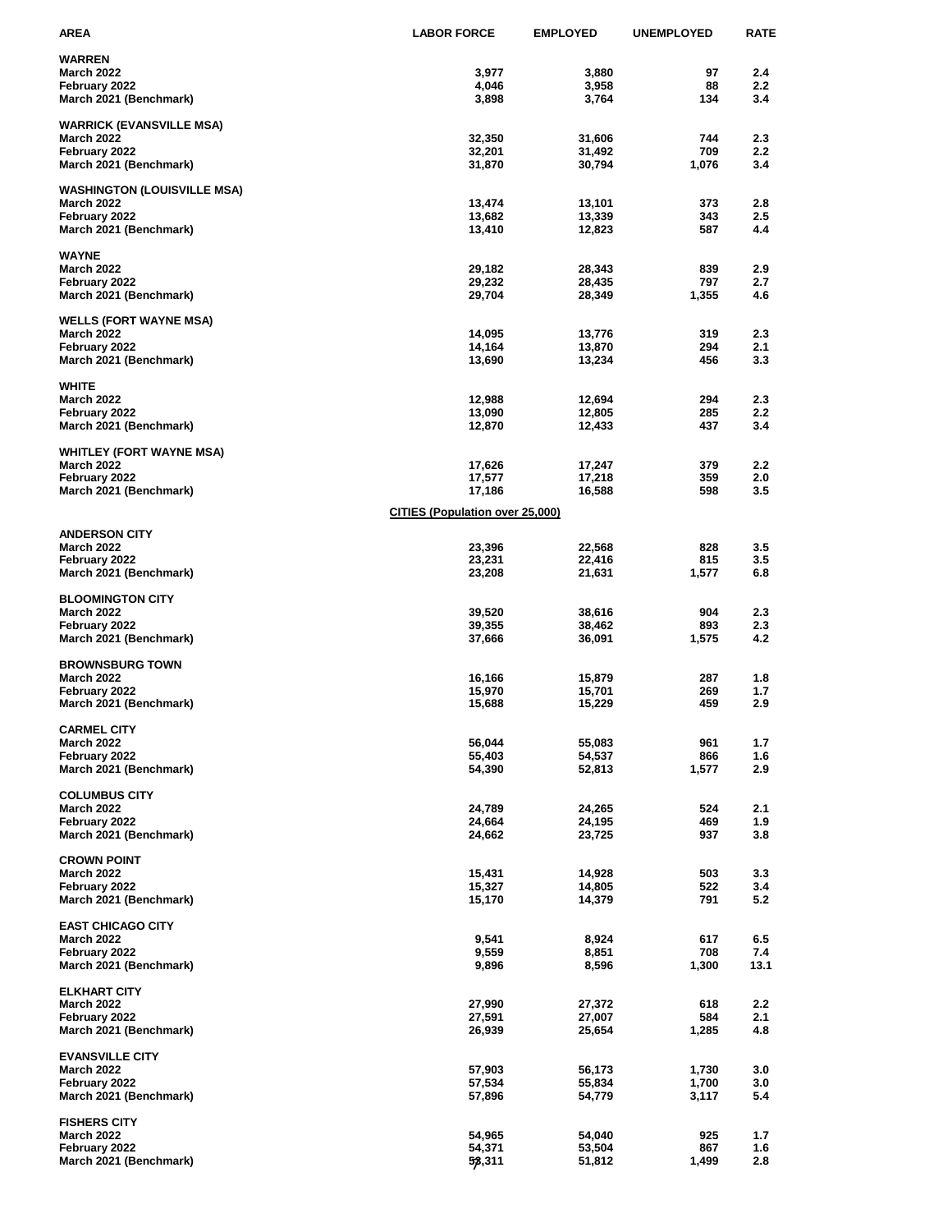| AREA                                                 | <b>LABOR FORCE</b>                     | <b>EMPLOYED</b>  | <b>UNEMPLOYED</b> | <b>RATE</b>             |
|------------------------------------------------------|----------------------------------------|------------------|-------------------|-------------------------|
| <b>WARREN</b>                                        |                                        |                  |                   |                         |
| <b>March 2022</b>                                    | 3,977                                  | 3,880            | 97                | 2.4                     |
| February 2022                                        | 4,046                                  | 3,958            | 88                | $2.2\,$                 |
| March 2021 (Benchmark)                               | 3,898                                  | 3,764            | 134               | 3.4                     |
| <b>WARRICK (EVANSVILLE MSA)</b>                      |                                        |                  |                   |                         |
| <b>March 2022</b>                                    | 32,350                                 | 31,606           | 744               | 2.3                     |
| February 2022                                        | 32,201                                 | 31,492           | 709               | 2.2                     |
| March 2021 (Benchmark)                               | 31,870                                 | 30,794           | 1,076             | 3.4                     |
| <b>WASHINGTON (LOUISVILLE MSA)</b>                   |                                        |                  |                   |                         |
| <b>March 2022</b>                                    | 13,474                                 | 13,101           | 373               | 2.8                     |
| February 2022                                        | 13,682                                 | 13,339           | 343               | 2.5                     |
| March 2021 (Benchmark)                               | 13,410                                 | 12,823           | 587               | 4.4                     |
| <b>WAYNE</b>                                         |                                        |                  |                   |                         |
| <b>March 2022</b>                                    | 29,182                                 | 28,343           | 839               | 2.9                     |
| February 2022                                        | 29,232                                 | 28,435           | 797               | 2.7                     |
| March 2021 (Benchmark)                               | 29,704                                 | 28,349           | 1,355             | 4.6                     |
| <b>WELLS (FORT WAYNE MSA)</b>                        |                                        |                  |                   |                         |
| <b>March 2022</b>                                    | 14,095                                 | 13,776           | 319               | 2.3                     |
| February 2022                                        | 14,164                                 | 13,870           | 294               | 2.1                     |
| March 2021 (Benchmark)                               | 13,690                                 | 13,234           | 456               | 3.3                     |
| <b>WHITE</b>                                         |                                        |                  |                   |                         |
| <b>March 2022</b>                                    | 12,988                                 | 12,694           | 294               | 2.3                     |
| February 2022                                        | 13,090                                 | 12,805           | 285               | 2.2                     |
| March 2021 (Benchmark)                               | 12,870                                 | 12,433           | 437               | 3.4                     |
|                                                      |                                        |                  |                   |                         |
| <b>WHITLEY (FORT WAYNE MSA)</b><br><b>March 2022</b> | 17,626                                 | 17,247           | 379               | 2.2                     |
| February 2022                                        | 17,577                                 | 17,218           | 359               | 2.0                     |
| March 2021 (Benchmark)                               | 17,186                                 | 16,588           | 598               | 3.5                     |
|                                                      | <b>CITIES (Population over 25,000)</b> |                  |                   |                         |
|                                                      |                                        |                  |                   |                         |
| <b>ANDERSON CITY</b><br><b>March 2022</b>            | 23,396                                 | 22,568           | 828               | 3.5                     |
| February 2022                                        | 23,231                                 | 22,416           | 815               | 3.5                     |
| March 2021 (Benchmark)                               | 23,208                                 | 21,631           | 1,577             | 6.8                     |
|                                                      |                                        |                  |                   |                         |
| <b>BLOOMINGTON CITY</b><br><b>March 2022</b>         | 39,520                                 | 38,616           | 904               | 2.3                     |
| February 2022                                        | 39,355                                 | 38,462           | 893               | 2.3                     |
| March 2021 (Benchmark)                               | 37,666                                 | 36,091           | 1,575             | 4.2                     |
|                                                      |                                        |                  |                   |                         |
| <b>BROWNSBURG TOWN</b><br><b>March 2022</b>          | 16,166                                 | 15,879           | 287               | 1.8                     |
| February 2022                                        | 15,970                                 | 15,701           | 269               | 1.7                     |
| March 2021 (Benchmark)                               | 15,688                                 | 15,229           | 459               | 2.9                     |
|                                                      |                                        |                  |                   |                         |
| <b>CARMEL CITY</b><br>March 2022                     | 56,044                                 | 55,083           | 961               | 1.7                     |
| February 2022                                        | 55,403                                 | 54,537           | 866               | 1.6                     |
| March 2021 (Benchmark)                               | 54,390                                 | 52,813           | 1,577             | 2.9                     |
|                                                      |                                        |                  |                   |                         |
| <b>COLUMBUS CITY</b><br><b>March 2022</b>            | 24,789                                 | 24,265           | 524               | 2.1                     |
| February 2022                                        | 24,664                                 | 24,195           | 469               | 1.9                     |
| March 2021 (Benchmark)                               | 24,662                                 | 23,725           | 937               | 3.8                     |
|                                                      |                                        |                  |                   |                         |
| <b>CROWN POINT</b><br><b>March 2022</b>              | 15,431                                 | 14,928           | 503               | 3.3                     |
| February 2022                                        | 15,327                                 | 14,805           | 522               | 3.4                     |
| March 2021 (Benchmark)                               | 15,170                                 | 14,379           | 791               | 5.2                     |
|                                                      |                                        |                  |                   |                         |
| <b>EAST CHICAGO CITY</b><br><b>March 2022</b>        | 9,541                                  | 8,924            | 617               | 6.5                     |
| February 2022                                        | 9,559                                  | 8,851            | 708               | 7.4                     |
| March 2021 (Benchmark)                               | 9,896                                  | 8,596            | 1,300             | 13.1                    |
|                                                      |                                        |                  |                   |                         |
| <b>ELKHART CITY</b>                                  |                                        |                  |                   |                         |
| <b>March 2022</b><br>February 2022                   | 27,990<br>27,591                       | 27,372<br>27,007 | 618<br>584        | $2.2\phantom{0}$<br>2.1 |
| March 2021 (Benchmark)                               | 26,939                                 | 25,654           | 1,285             | 4.8                     |
|                                                      |                                        |                  |                   |                         |
| <b>EVANSVILLE CITY</b>                               |                                        |                  |                   |                         |
| <b>March 2022</b><br>February 2022                   | 57,903<br>57,534                       | 56,173<br>55,834 | 1,730<br>1,700    | 3.0<br>3.0              |
| March 2021 (Benchmark)                               | 57,896                                 | 54,779           | 3,117             | 5.4                     |
|                                                      |                                        |                  |                   |                         |
| <b>FISHERS CITY</b>                                  |                                        |                  |                   |                         |
| <b>March 2022</b><br>February 2022                   | 54,965<br>54,371                       | 54,040<br>53,504 | 925<br>867        | 1.7<br>1.6              |
| March 2021 (Benchmark)                               | 53,311                                 | 51,812           | 1,499             | 2.8                     |
|                                                      |                                        |                  |                   |                         |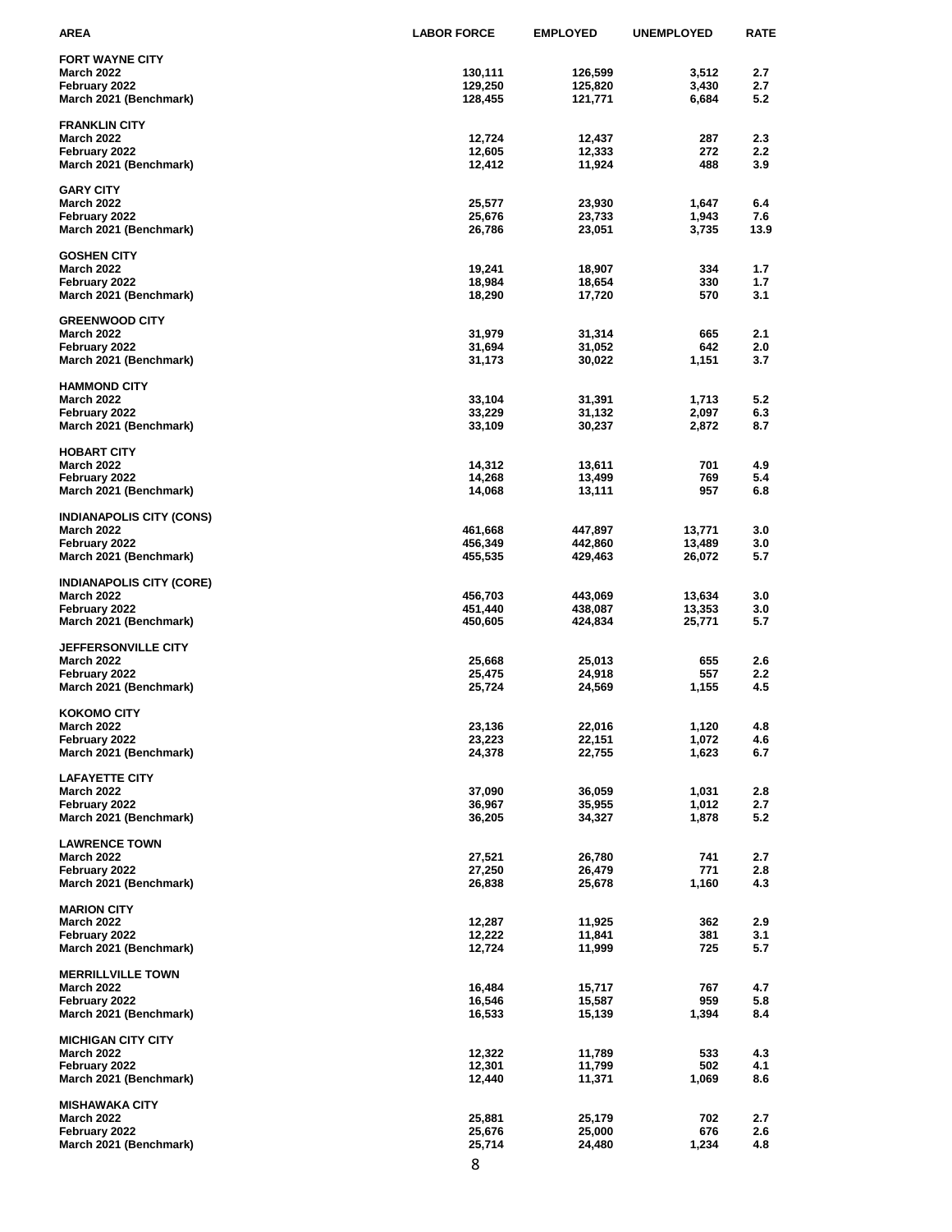| AREA                            | <b>LABOR FORCE</b> | <b>EMPLOYED</b> | <b>UNEMPLOYED</b> | <b>RATE</b> |
|---------------------------------|--------------------|-----------------|-------------------|-------------|
| <b>FORT WAYNE CITY</b>          |                    |                 |                   |             |
| <b>March 2022</b>               | 130,111            | 126,599         | 3,512             | 2.7         |
| February 2022                   | 129,250            | 125,820         | 3,430             | 2.7         |
| March 2021 (Benchmark)          | 128,455            | 121,771         | 6,684             | 5.2         |
|                                 |                    |                 |                   |             |
| <b>FRANKLIN CITY</b>            |                    |                 |                   |             |
| <b>March 2022</b>               | 12,724             | 12,437          | 287               | 2.3         |
| February 2022                   | 12,605             | 12,333          | 272               | 2.2<br>3.9  |
| March 2021 (Benchmark)          | 12,412             | 11,924          | 488               |             |
| <b>GARY CITY</b>                |                    |                 |                   |             |
| <b>March 2022</b>               | 25,577             | 23,930          | 1,647             | 6.4         |
| February 2022                   | 25,676             | 23,733          | 1,943             | 7.6         |
| March 2021 (Benchmark)          | 26,786             | 23,051          | 3,735             | 13.9        |
|                                 |                    |                 |                   |             |
| <b>GOSHEN CITY</b>              |                    |                 |                   |             |
| <b>March 2022</b>               | 19,241             | 18,907          | 334               | 1.7         |
| February 2022                   | 18,984             | 18,654          | 330<br>570        | 1.7<br>3.1  |
| March 2021 (Benchmark)          | 18,290             | 17,720          |                   |             |
| <b>GREENWOOD CITY</b>           |                    |                 |                   |             |
| <b>March 2022</b>               | 31,979             | 31,314          | 665               | 2.1         |
| February 2022                   | 31,694             | 31,052          | 642               | 2.0         |
| March 2021 (Benchmark)          | 31,173             | 30,022          | 1,151             | 3.7         |
|                                 |                    |                 |                   |             |
| <b>HAMMOND CITY</b>             |                    |                 |                   |             |
| <b>March 2022</b>               | 33,104             | 31,391          | 1,713             | 5.2         |
| February 2022                   | 33,229             | 31,132          | 2,097             | 6.3         |
| March 2021 (Benchmark)          | 33,109             | 30,237          | 2,872             | 8.7         |
| <b>HOBART CITY</b>              |                    |                 |                   |             |
| <b>March 2022</b>               | 14,312             | 13,611          | 701               | 4.9         |
| February 2022                   | 14,268             | 13,499          | 769               | 5.4         |
| March 2021 (Benchmark)          | 14,068             | 13,111          | 957               | 6.8         |
|                                 |                    |                 |                   |             |
| <b>INDIANAPOLIS CITY (CONS)</b> |                    |                 |                   |             |
| <b>March 2022</b>               | 461,668            | 447,897         | 13,771            | 3.0         |
| February 2022                   | 456,349            | 442,860         | 13,489            | 3.0         |
| March 2021 (Benchmark)          | 455,535            | 429,463         | 26,072            | 5.7         |
| <b>INDIANAPOLIS CITY (CORE)</b> |                    |                 |                   |             |
| <b>March 2022</b>               | 456,703            | 443,069         | 13,634            | 3.0         |
| February 2022                   | 451,440            | 438,087         | 13,353            | 3.0         |
| March 2021 (Benchmark)          | 450,605            | 424,834         | 25,771            | 5.7         |
|                                 |                    |                 |                   |             |
| <b>JEFFERSONVILLE CITY</b>      |                    |                 |                   |             |
| <b>March 2022</b>               | 25,668             | 25,013          | 655               | 2.6         |
| February 2022                   | 25,475             | 24,918          | 557               | $2.2\,$     |
| March 2021 (Benchmark)          | 25,724             | 24,569          | 1,155             | 4.5         |
| <b>KOKOMO CITY</b>              |                    |                 |                   |             |
| <b>March 2022</b>               | 23,136             | 22,016          | 1,120             | 4.8         |
| February 2022                   | 23,223             | 22,151          | 1,072             | 4.6         |
| March 2021 (Benchmark)          | 24,378             | 22,755          | 1,623             | 6.7         |
|                                 |                    |                 |                   |             |
| <b>LAFAYETTE CITY</b>           |                    |                 |                   |             |
| <b>March 2022</b>               | 37,090             | 36,059          | 1,031             | 2.8         |
| February 2022                   | 36,967             | 35,955          | 1,012             | 2.7         |
| March 2021 (Benchmark)          | 36,205             | 34,327          | 1,878             | 5.2         |
| <b>LAWRENCE TOWN</b>            |                    |                 |                   |             |
| <b>March 2022</b>               | 27,521             | 26,780          | 741               | 2.7         |
| February 2022                   | 27,250             | 26,479          | 771               | 2.8         |
| March 2021 (Benchmark)          | 26,838             | 25,678          | 1,160             | 4.3         |
|                                 |                    |                 |                   |             |
| <b>MARION CITY</b>              |                    |                 |                   |             |
| <b>March 2022</b>               | 12,287             | 11,925          | 362               | 2.9         |
| February 2022                   | 12,222             | 11,841          | 381               | 3.1         |
| March 2021 (Benchmark)          | 12,724             | 11,999          | 725               | 5.7         |
| <b>MERRILLVILLE TOWN</b>        |                    |                 |                   |             |
| <b>March 2022</b>               | 16,484             | 15,717          | 767               | 4.7         |
| February 2022                   | 16,546             | 15,587          | 959               | 5.8         |
| March 2021 (Benchmark)          | 16,533             | 15,139          | 1,394             | 8.4         |
|                                 |                    |                 |                   |             |
| <b>MICHIGAN CITY CITY</b>       |                    |                 |                   |             |
| <b>March 2022</b>               | 12,322             | 11,789          | 533               | 4.3         |
| February 2022                   | 12,301             | 11,799          | 502               | 4.1         |
| March 2021 (Benchmark)          | 12,440             | 11,371          | 1,069             | 8.6         |
| <b>MISHAWAKA CITY</b>           |                    |                 |                   |             |
| <b>March 2022</b>               | 25,881             | 25,179          | 702               | 2.7         |
| February 2022                   | 25,676             | 25,000          | 676               | 2.6         |
| March 2021 (Benchmark)          | 25,714             | 24,480          | 1,234             | 4.8         |
|                                 |                    |                 |                   |             |